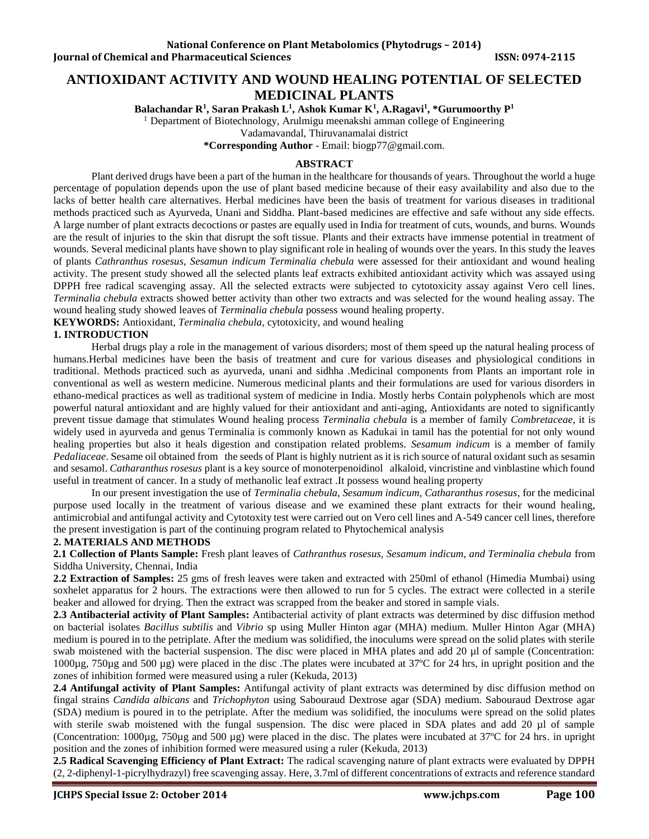# **ANTIOXIDANT ACTIVITY AND WOUND HEALING POTENTIAL OF SELECTED MEDICINAL PLANTS**

**Balachandar R<sup>1</sup> , Saran Prakash L<sup>1</sup> , Ashok Kumar K<sup>1</sup> , A.Ragavi<sup>1</sup> , \*Gurumoorthy P<sup>1</sup>**

<sup>1</sup> Department of Biotechnology, Arulmigu meenakshi amman college of Engineering

Vadamavandal, Thiruvanamalai district

**\*Corresponding Author** - Email: biogp77@gmail.com.

## **ABSTRACT**

Plant derived drugs have been a part of the human in the healthcare for thousands of years. Throughout the world a huge percentage of population depends upon the use of plant based medicine because of their easy availability and also due to the lacks of better health care alternatives. Herbal medicines have been the basis of treatment for various diseases in traditional methods practiced such as Ayurveda, Unani and Siddha. Plant-based medicines are effective and safe without any side effects. A large number of plant extracts decoctions or pastes are equally used in India for treatment of cuts, wounds, and burns. Wounds are the result of injuries to the skin that disrupt the soft tissue. Plants and their extracts have immense potential in treatment of wounds. Several medicinal plants have shown to play significant role in healing of wounds over the years. In this study the leaves of plants *Cathranthus rosesus, Sesamun indicum Terminalia chebula* were assessed for their antioxidant and wound healing activity. The present study showed all the selected plants leaf extracts exhibited antioxidant activity which was assayed using DPPH free radical scavenging assay. All the selected extracts were subjected to cytotoxicity assay against Vero cell lines. *Terminalia chebula* extracts showed better activity than other two extracts and was selected for the wound healing assay. The wound healing study showed leaves of *Terminalia chebula* possess wound healing property.

**KEYWORDS:** Antioxidant, *Terminalia chebula*, cytotoxicity, and wound healing

## **1. INTRODUCTION**

Herbal drugs play a role in the management of various disorders; most of them speed up the natural healing process of humans.Herbal medicines have been the basis of treatment and cure for various diseases and physiological conditions in traditional. Methods practiced such as ayurveda, unani and sidhha .Medicinal components from Plants an important role in conventional as well as western medicine. Numerous medicinal plants and their formulations are used for various disorders in ethano-medical practices as well as traditional system of medicine in India. Mostly herbs Contain polyphenols which are most powerful natural antioxidant and are highly valued for their antioxidant and anti-aging, Antioxidants are noted to significantly prevent tissue damage that stimulates Wound healing process *Terminalia chebula* is a member of family *Combretaceae*, it is widely used in ayurveda and genus Terminalia is commonly known as Kadukai in tamil has the potential for not only wound healing properties but also it heals digestion and constipation related problems. *Sesamum indicum* is a member of family *Pedaliaceae*. Sesame oil obtained from the seeds of Plant is highly nutrient as it is rich source of natural oxidant such as sesamin and sesamol. *Catharanthus rosesus* plant is a key source of monoterpenoidinol alkaloid, vincristine and vinblastine which found useful in treatment of cancer. In a study of methanolic leaf extract .It possess wound healing property

In our present investigation the use of *Terminalia chebula, Sesamum indicum, Catharanthus rosesus*, for the medicinal purpose used locally in the treatment of various disease and we examined these plant extracts for their wound healing, antimicrobial and antifungal activity and Cytotoxity test were carried out on Vero cell lines and A-549 cancer cell lines, therefore the present investigation is part of the continuing program related to Phytochemical analysis

## **2. MATERIALS AND METHODS**

**2.1 Collection of Plants Sample:** Fresh plant leaves of *Cathranthus rosesus, Sesamum indicum, and Terminalia chebula* from Siddha University, Chennai, India

**2.2 Extraction of Samples:** 25 gms of fresh leaves were taken and extracted with 250ml of ethanol (Himedia Mumbai) using soxhelet apparatus for 2 hours. The extractions were then allowed to run for 5 cycles. The extract were collected in a sterile beaker and allowed for drying. Then the extract was scrapped from the beaker and stored in sample vials.

**2.3 Antibacterial activity of Plant Samples:** Antibacterial activity of plant extracts was determined by disc diffusion method on bacterial isolates *Bacillus subtilis* and *Vibrio* sp using Muller Hinton agar (MHA) medium. Muller Hinton Agar (MHA) medium is poured in to the petriplate. After the medium was solidified, the inoculums were spread on the solid plates with sterile swab moistened with the bacterial suspension. The disc were placed in MHA plates and add 20 µl of sample (Concentration: 1000µg, 750µg and 500 µg) were placed in the disc .The plates were incubated at 37ºC for 24 hrs, in upright position and the zones of inhibition formed were measured using a ruler (Kekuda, 2013)

**2.4 Antifungal activity of Plant Samples:** Antifungal activity of plant extracts was determined by disc diffusion method on fingal strains *Candida albicans* and *Trichophyton* using Sabouraud Dextrose agar (SDA) medium. Sabouraud Dextrose agar (SDA) medium is poured in to the petriplate. After the medium was solidified, the inoculums were spread on the solid plates with sterile swab moistened with the fungal suspension. The disc were placed in SDA plates and add 20 µl of sample (Concentration:  $1000\mu$ g,  $750\mu$ g and  $500 \mu$ g) were placed in the disc. The plates were incubated at  $37^{\circ}$ C for 24 hrs. in upright position and the zones of inhibition formed were measured using a ruler (Kekuda, 2013)

**2.5 Radical Scavenging Efficiency of Plant Extract:** The radical scavenging nature of plant extracts were evaluated by DPPH (2, 2-diphenyl-1-picrylhydrazyl) free scavenging assay. Here, 3.7ml of different concentrations of extracts and reference standard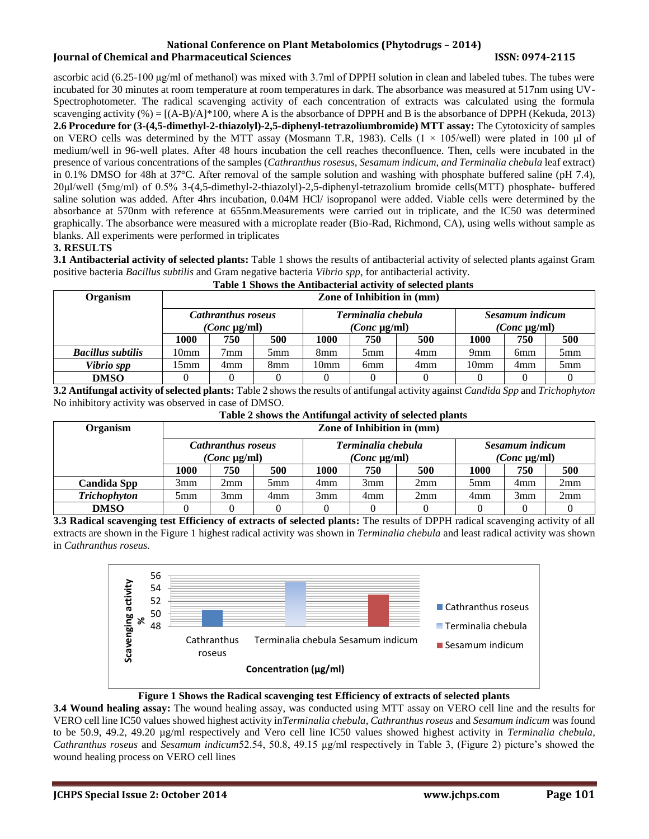### **National Conference on Plant Metabolomics (Phytodrugs – 2014) Iournal of Chemical and Pharmaceutical Sciences ISSN: 0974-2115**

ascorbic acid (6.25-100 μg/ml of methanol) was mixed with 3.7ml of DPPH solution in clean and labeled tubes. The tubes were incubated for 30 minutes at room temperature at room temperatures in dark. The absorbance was measured at 517nm using UV-Spectrophotometer. The radical scavenging activity of each concentration of extracts was calculated using the formula scavenging activity (%) =  $[(A-B)/A]^*100$ , where A is the absorbance of DPPH and B is the absorbance of DPPH (Kekuda, 2013) **2.6 Procedure for (3-(4,5-dimethyl-2-thiazolyl)-2,5-diphenyl-tetrazoliumbromide) MTT assay:** The Cytotoxicity of samples on VERO cells was determined by the MTT assay (Mosmann T.R, 1983). Cells  $(1 \times 105/\text{well})$  were plated in 100 µl of medium/well in 96-well plates. After 48 hours incubation the cell reaches theconfluence. Then, cells were incubated in the presence of various concentrations of the samples (*Cathranthus rosesus, Sesamum indicum, and Terminalia chebula* leaf extract) in 0.1% DMSO for 48h at 37°C. After removal of the sample solution and washing with phosphate buffered saline (pH 7.4), 20μl/well (5mg/ml) of 0.5% 3-(4,5-dimethyl-2-thiazolyl)-2,5-diphenyl-tetrazolium bromide cells(MTT) phosphate- buffered saline solution was added. After 4hrs incubation, 0.04M HCl/ isopropanol were added. Viable cells were determined by the absorbance at 570nm with reference at 655nm.Measurements were carried out in triplicate, and the IC50 was determined graphically. The absorbance were measured with a microplate reader (Bio-Rad, Richmond, CA), using wells without sample as blanks. All experiments were performed in triplicates

## **3. RESULTS**

**3.1 Antibacterial activity of selected plants:** Table 1 shows the results of antibacterial activity of selected plants against Gram positive bacteria *Bacillus subtilis* and Gram negative bacteria *Vibrio spp*, for antibacterial activity. **Table 1 Shows the Antibacterial activity of selected plants**

|                          | Table I Shows the Antibacterial activity of selected plants |                                                |                 |                                         |                 |     |                                      |                 |                 |
|--------------------------|-------------------------------------------------------------|------------------------------------------------|-----------------|-----------------------------------------|-----------------|-----|--------------------------------------|-----------------|-----------------|
| <b>Organism</b>          | Zone of Inhibition in (mm)                                  |                                                |                 |                                         |                 |     |                                      |                 |                 |
|                          |                                                             | <b>Cathranthus roseus</b><br>$(Conc \mu g/ml)$ |                 | Terminalia chebula<br>$(Conc \mu g/ml)$ |                 |     | Sesamum indicum<br>$(Conc \mu g/ml)$ |                 |                 |
|                          | 1000                                                        | 750                                            | 500             | 1000                                    | 750             | 500 | 1000                                 | 750             | 500             |
| <b>Bacillus subtilis</b> | 10mm                                                        | $7 \text{mm}$                                  | 5mm             | 8mm                                     | 5mm             | 4mm | 9 <sub>mm</sub>                      | 6 <sub>mm</sub> | 5 <sub>mm</sub> |
| Vibrio spp               | 15mm                                                        | 4mm                                            | 8 <sub>mm</sub> | 10mm                                    | 6 <sub>mm</sub> | 4mm | 10 <sub>mm</sub>                     | 4mm             | 5mm             |
| <b>DMSO</b>              |                                                             |                                                |                 |                                         |                 |     |                                      |                 |                 |

**3.2 Antifungal activity of selected plants:** Table 2 shows the results of antifungal activity against *Candida Spp* and *Trichophyton* No inhibitory activity was observed in case of DMSO.

| Table 2 shows the Antifungal activity of selected plants |                                                                    |                   |                   |      |     |                   |                 |     |     |
|----------------------------------------------------------|--------------------------------------------------------------------|-------------------|-------------------|------|-----|-------------------|-----------------|-----|-----|
| <b>Organism</b>                                          | <b>Zone of Inhibition in (mm)</b>                                  |                   |                   |      |     |                   |                 |     |     |
|                                                          | Terminalia chebula<br><b>Cathranthus roseus</b><br>Sesamum indicum |                   |                   |      |     |                   |                 |     |     |
|                                                          |                                                                    | $(Conc \mu g/ml)$ | $(Conc \mu g/ml)$ |      |     | $(Conc \mu g/ml)$ |                 |     |     |
|                                                          | 1000                                                               | 750               | 500               | 1000 | 750 | 500               | 1000            | 750 | 500 |
| <b>Candida Spp</b>                                       | 3mm                                                                | 2mm               | 5mm               | 4mm  | 3mm | 2mm               | 5 <sub>mm</sub> | 4mm | 2mm |
| <b>Trichophyton</b>                                      | 5mm                                                                | 3mm               | 4mm               | 3mm  | 4mm | 2mm               | 4mm             | 3mm | 2mm |
| <b>DMSO</b>                                              |                                                                    |                   |                   |      |     |                   |                 |     |     |

**3.3 Radical scavenging test Efficiency of extracts of selected plants:** The results of DPPH radical scavenging activity of all extracts are shown in the Figure 1 highest radical activity was shown in *Terminalia chebula* and least radical activity was shown in *Cathranthus roseus.*



## **Figure 1 Shows the Radical scavenging test Efficiency of extracts of selected plants**

**3.4 Wound healing assay:** The wound healing assay, was conducted using MTT assay on VERO cell line and the results for VERO cell line IC50 values showed highest activity in*Terminalia chebula*, *Cathranthus roseus* and *Sesamum indicum* was found to be 50.9, 49.2, 49.20 µg/ml respectively and Vero cell line IC50 values showed highest activity in *Terminalia chebula*, *Cathranthus roseus* and *Sesamum indicum*52.54, 50.8, 49.15 µg/ml respectively in Table 3, (Figure 2) picture's showed the wound healing process on VERO cell lines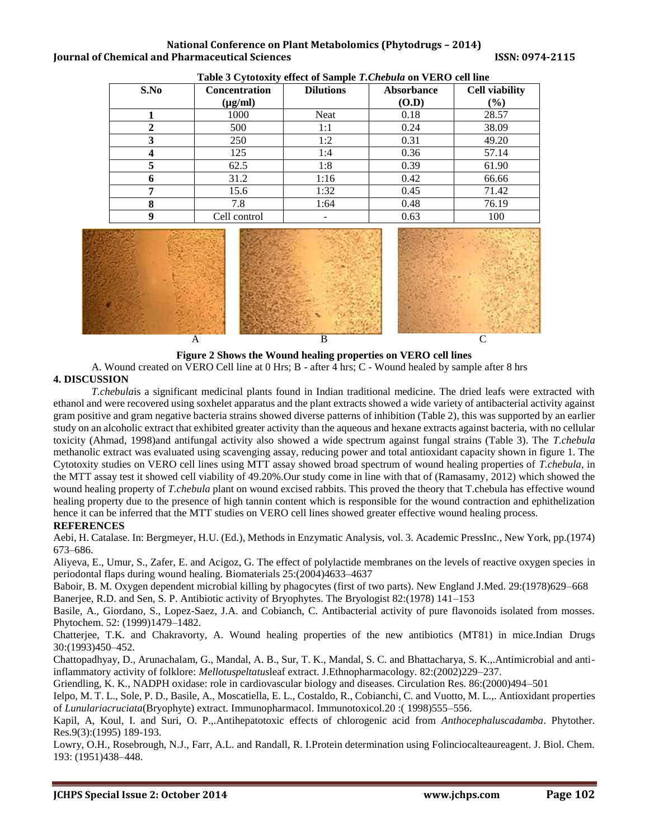#### **National Conference on Plant Metabolomics (Phytodrugs – 2014) Iournal of Chemical and Pharmaceutical Sciences ISSN: 0974-2115**

| $\sim$ , and $\sim$ , $\sim$ , $\sim$ , $\sim$ , $\sim$ , $\sim$ , $\sim$ , $\sim$ , $\sim$ , $\sim$ , $\sim$ , $\sim$ , $\sim$ , $\sim$ , $\sim$ , $\sim$ , $\sim$ , $\sim$ , $\sim$ , $\sim$ , $\sim$ , $\sim$ , $\sim$ , $\sim$ , $\sim$ , $\sim$ , $\sim$ , $\sim$ , $\sim$ , $\sim$ , |                      |                  |                   |                       |  |  |  |  |  |
|--------------------------------------------------------------------------------------------------------------------------------------------------------------------------------------------------------------------------------------------------------------------------------------------|----------------------|------------------|-------------------|-----------------------|--|--|--|--|--|
| S.No                                                                                                                                                                                                                                                                                       | <b>Concentration</b> | <b>Dilutions</b> | <b>Absorbance</b> | <b>Cell viability</b> |  |  |  |  |  |
|                                                                                                                                                                                                                                                                                            | $(\mu g/ml)$         |                  | (O.D)             | (%)                   |  |  |  |  |  |
|                                                                                                                                                                                                                                                                                            | 1000                 | Neat             | 0.18              | 28.57                 |  |  |  |  |  |
|                                                                                                                                                                                                                                                                                            | 500                  | 1:1              | 0.24              | 38.09                 |  |  |  |  |  |
|                                                                                                                                                                                                                                                                                            | 250                  | 1:2              | 0.31              | 49.20                 |  |  |  |  |  |
|                                                                                                                                                                                                                                                                                            | 125                  | 1:4              | 0.36              | 57.14                 |  |  |  |  |  |
|                                                                                                                                                                                                                                                                                            | 62.5                 | 1:8              | 0.39              | 61.90                 |  |  |  |  |  |
|                                                                                                                                                                                                                                                                                            | 31.2                 | 1:16             | 0.42              | 66.66                 |  |  |  |  |  |
| −                                                                                                                                                                                                                                                                                          | 15.6                 | 1:32             | 0.45              | 71.42                 |  |  |  |  |  |
| 8                                                                                                                                                                                                                                                                                          | 7.8                  | 1:64             | 0.48              | 76.19                 |  |  |  |  |  |
| 9                                                                                                                                                                                                                                                                                          | Cell control         |                  | 0.63              | 100                   |  |  |  |  |  |

**Table 3 Cytotoxity effect of Sample** *T.Chebula* **on VERO cell line**



**Figure 2 Shows the Wound healing properties on VERO cell lines**

A. Wound created on VERO Cell line at 0 Hrs; B - after 4 hrs; C - Wound healed by sample after 8 hrs **4. DISCUSSION**

*T.chebula*is a significant medicinal plants found in Indian traditional medicine. The dried leafs were extracted with ethanol and were recovered using soxhelet apparatus and the plant extracts showed a wide variety of antibacterial activity against gram positive and gram negative bacteria strains showed diverse patterns of inhibition (Table 2), this was supported by an earlier study on an alcoholic extract that exhibited greater activity than the aqueous and hexane extracts against bacteria, with no cellular toxicity (Ahmad, 1998)and antifungal activity also showed a wide spectrum against fungal strains (Table 3). The *T.chebula* methanolic extract was evaluated using scavenging assay, reducing power and total antioxidant capacity shown in figure 1. The Cytotoxity studies on VERO cell lines using MTT assay showed broad spectrum of wound healing properties of *T.chebula*, in the MTT assay test it showed cell viability of 49.20%.Our study come in line with that of (Ramasamy, 2012) which showed the wound healing property of *T.chebula* plant on wound excised rabbits. This proved the theory that T.chebula has effective wound healing property due to the presence of high tannin content which is responsible for the wound contraction and ephithelization hence it can be inferred that the MTT studies on VERO cell lines showed greater effective wound healing process. **REFERENCES**

Aebi, H. Catalase. In: Bergmeyer, H.U. (Ed.), Methods in Enzymatic Analysis, vol. 3. Academic PressInc., New York, pp.(1974) 673–686.

Aliyeva, E., Umur, S., Zafer, E. and Acigoz, G. The effect of polylactide membranes on the levels of reactive oxygen species in periodontal flaps during wound healing. Biomaterials 25:(2004)4633–4637

Baboir, B. M. Oxygen dependent microbial killing by phagocytes (first of two parts). New England J.Med. 29:(1978)629–668 Banerjee, R.D. and Sen, S. P. Antibiotic activity of Bryophytes. The Bryologist 82:(1978) 141–153

Basile, A., Giordano, S., Lopez-Saez, J.A. and Cobianch, C. Antibacterial activity of pure flavonoids isolated from mosses. Phytochem. 52: (1999)1479–1482.

Chatterjee, T.K. and Chakravorty, A. Wound healing properties of the new antibiotics (MT81) in mice.Indian Drugs 30:(1993)450–452.

Chattopadhyay, D., Arunachalam, G., Mandal, A. B., Sur, T. K., Mandal, S. C. and Bhattacharya, S. K.,.Antimicrobial and antiinflammatory activity of folklore: *Mellotuspeltatus*leaf extract. J.Ethnopharmacology. 82:(2002)229–237.

Griendling, K. K., NADPH oxidase: role in cardiovascular biology and diseases. Circulation Res. 86:(2000)494–501

Ielpo, M. T. L., Sole, P. D., Basile, A., Moscatiella, E. L., Costaldo, R., Cobianchi, C. and Vuotto, M. L.,. Antioxidant properties of *Lunulariacruciata*(Bryophyte) extract. Immunopharmacol. Immunotoxicol.20 :( 1998)555–556.

Kapil, A, Koul, I. and Suri, O. P.,.Antihepatotoxic effects of chlorogenic acid from *Anthocephaluscadamba*. Phytother. Res.9(3):(1995) 189-193.

Lowry, O.H., Rosebrough, N.J., Farr, A.L. and Randall, R. I.Protein determination using Folinciocalteaureagent. J. Biol. Chem. 193: (1951)438–448.